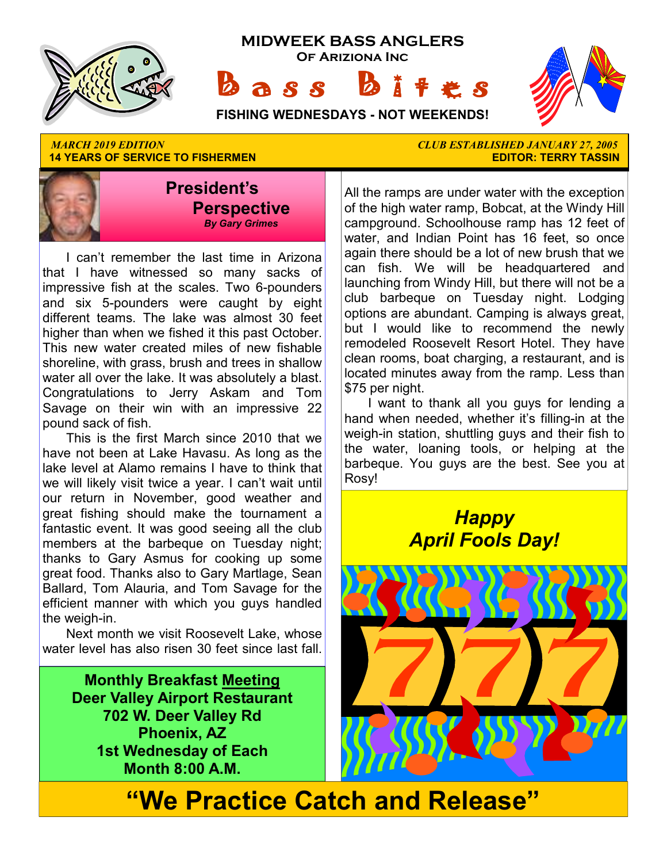

**14 YEARS OF SERVICE TO FISHERMEN** 



 I can't remember the last time in Arizona that I have witnessed so many sacks of impressive fish at the scales. Two 6-pounders and six 5-pounders were caught by eight different teams. The lake was almost 30 feet higher than when we fished it this past October. This new water created miles of new fishable shoreline, with grass, brush and trees in shallow water all over the lake. It was absolutely a blast. Congratulations to Jerry Askam and Tom Savage on their win with an impressive 22 pound sack of fish.

 This is the first March since 2010 that we have not been at Lake Havasu. As long as the lake level at Alamo remains I have to think that we will likely visit twice a year. I can't wait until our return in November, good weather and great fishing should make the tournament a fantastic event. It was good seeing all the club members at the barbeque on Tuesday night; thanks to Gary Asmus for cooking up some great food. Thanks also to Gary Martlage, Sean Ballard, Tom Alauria, and Tom Savage for the efficient manner with which you guys handled the weigh-in.

 Next month we visit Roosevelt Lake, whose water level has also risen 30 feet since last fall.

> **Monthly Breakfast Meeting Deer Valley Airport Restaurant 702 W. Deer Valley Rd Phoenix, AZ 1st Wednesday of Each Month 8:00 A.M.**

*MARCH 2019 EDITION CLUB ESTABLISHED JANUARY 27, 2005* 

All the ramps are under water with the exception of the high water ramp, Bobcat, at the Windy Hill campground. Schoolhouse ramp has 12 feet of water, and Indian Point has 16 feet, so once again there should be a lot of new brush that we can fish. We will be headquartered and launching from Windy Hill, but there will not be a club barbeque on Tuesday night. Lodging options are abundant. Camping is always great, but I would like to recommend the newly remodeled Roosevelt Resort Hotel. They have clean rooms, boat charging, a restaurant, and is located minutes away from the ramp. Less than \$75 per night.

 I want to thank all you guys for lending a hand when needed, whether it's filling-in at the weigh-in station, shuttling guys and their fish to the water, loaning tools, or helping at the barbeque. You guys are the best. See you at Rosy!

## *Happy April Fools Day!*



**"We Practice Catch and Release"**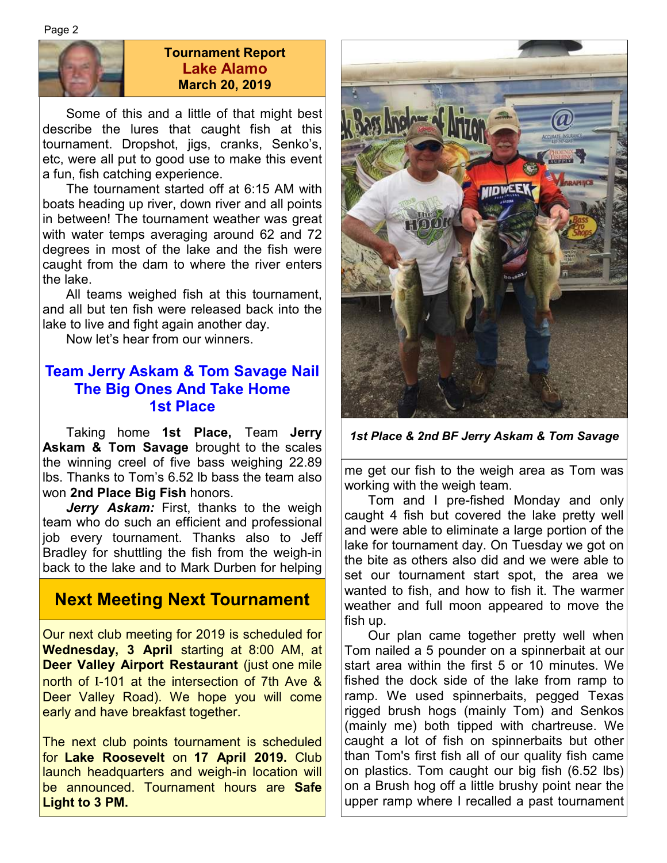Page 2



#### **Tournament Report Lake Alamo March 20, 2019**

 Some of this and a little of that might best describe the lures that caught fish at this tournament. Dropshot, jigs, cranks, Senko's, etc, were all put to good use to make this event a fun, fish catching experience.

 The tournament started off at 6:15 AM with boats heading up river, down river and all points in between! The tournament weather was great with water temps averaging around 62 and 72 degrees in most of the lake and the fish were caught from the dam to where the river enters the lake.

 All teams weighed fish at this tournament, and all but ten fish were released back into the lake to live and fight again another day.

Now let's hear from our winners.

### **Team Jerry Askam & Tom Savage Nail The Big Ones And Take Home 1st Place**

 Taking home **1st Place,** Team **Jerry Askam & Tom Savage** brought to the scales the winning creel of five bass weighing 22.89 lbs. Thanks to Tom's 6.52 lb bass the team also won **2nd Place Big Fish** honors.

Jerry Askam: First, thanks to the weigh team who do such an efficient and professional job every tournament. Thanks also to Jeff Bradley for shuttling the fish from the weigh-in back to the lake and to Mark Durben for helping

### **Next Meeting Next Tournament**

Our next club meeting for 2019 is scheduled for **Wednesday, 3 April** starting at 8:00 AM, at **Deer Valley Airport Restaurant** (just one mile north of I-101 at the intersection of 7th Ave & Deer Valley Road). We hope you will come early and have breakfast together.

The next club points tournament is scheduled for **Lake Roosevelt** on **17 April 2019.** Club launch headquarters and weigh-in location will be announced. Tournament hours are **Safe Light to 3 PM.** 



*1st Place & 2nd BF Jerry Askam & Tom Savage* 

me get our fish to the weigh area as Tom was working with the weigh team.

 Tom and I pre-fished Monday and only caught 4 fish but covered the lake pretty well and were able to eliminate a large portion of the lake for tournament day. On Tuesday we got on the bite as others also did and we were able to set our tournament start spot, the area we wanted to fish, and how to fish it. The warmer weather and full moon appeared to move the fish up.

 Our plan came together pretty well when Tom nailed a 5 pounder on a spinnerbait at our start area within the first 5 or 10 minutes. We fished the dock side of the lake from ramp to ramp. We used spinnerbaits, pegged Texas rigged brush hogs (mainly Tom) and Senkos (mainly me) both tipped with chartreuse. We caught a lot of fish on spinnerbaits but other than Tom's first fish all of our quality fish came on plastics. Tom caught our big fish (6.52 lbs) on a Brush hog off a little brushy point near the upper ramp where I recalled a past tournament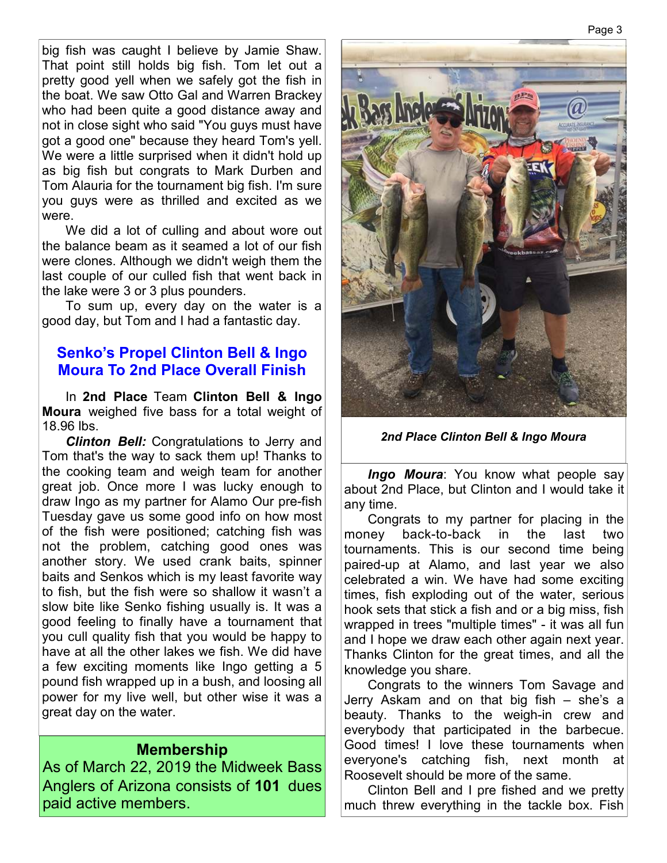big fish was caught I believe by Jamie Shaw. That point still holds big fish. Tom let out a pretty good yell when we safely got the fish in the boat. We saw Otto Gal and Warren Brackey who had been quite a good distance away and not in close sight who said "You guys must have got a good one" because they heard Tom's yell. We were a little surprised when it didn't hold up as big fish but congrats to Mark Durben and Tom Alauria for the tournament big fish. I'm sure you guys were as thrilled and excited as we were.

We did a lot of culling and about wore out the balance beam as it seamed a lot of our fish were clones. Although we didn't weigh them the last couple of our culled fish that went back in the lake were 3 or 3 plus pounders.

 To sum up, every day on the water is a good day, but Tom and I had a fantastic day.

#### **Senko's Propel Clinton Bell & Ingo Moura To 2nd Place Overall Finish**

 In **2nd Place** Team **Clinton Bell & Ingo Moura** weighed five bass for a total weight of 18.96 lbs.

*Clinton Bell:* Congratulations to Jerry and Tom that's the way to sack them up! Thanks to the cooking team and weigh team for another great job. Once more I was lucky enough to draw Ingo as my partner for Alamo Our pre-fish Tuesday gave us some good info on how most of the fish were positioned; catching fish was not the problem, catching good ones was another story. We used crank baits, spinner baits and Senkos which is my least favorite way to fish, but the fish were so shallow it wasn't a slow bite like Senko fishing usually is. It was a good feeling to finally have a tournament that you cull quality fish that you would be happy to have at all the other lakes we fish. We did have a few exciting moments like Ingo getting a 5 pound fish wrapped up in a bush, and loosing all power for my live well, but other wise it was a great day on the water.

#### **Membership**

As of March 22, 2019 the Midweek Bass Anglers of Arizona consists of **101** dues paid active members.



*2nd Place Clinton Bell & Ingo Moura*

*Ingo Moura*: You know what people say about 2nd Place, but Clinton and I would take it any time.

 Congrats to my partner for placing in the money back-to-back in the last two tournaments. This is our second time being paired-up at Alamo, and last year we also celebrated a win. We have had some exciting times, fish exploding out of the water, serious hook sets that stick a fish and or a big miss, fish wrapped in trees "multiple times" - it was all fun and I hope we draw each other again next year. Thanks Clinton for the great times, and all the knowledge you share.

 Congrats to the winners Tom Savage and Jerry Askam and on that big fish – she's a beauty. Thanks to the weigh-in crew and everybody that participated in the barbecue. Good times! I love these tournaments when everyone's catching fish, next month at Roosevelt should be more of the same.

 Clinton Bell and I pre fished and we pretty much threw everything in the tackle box. Fish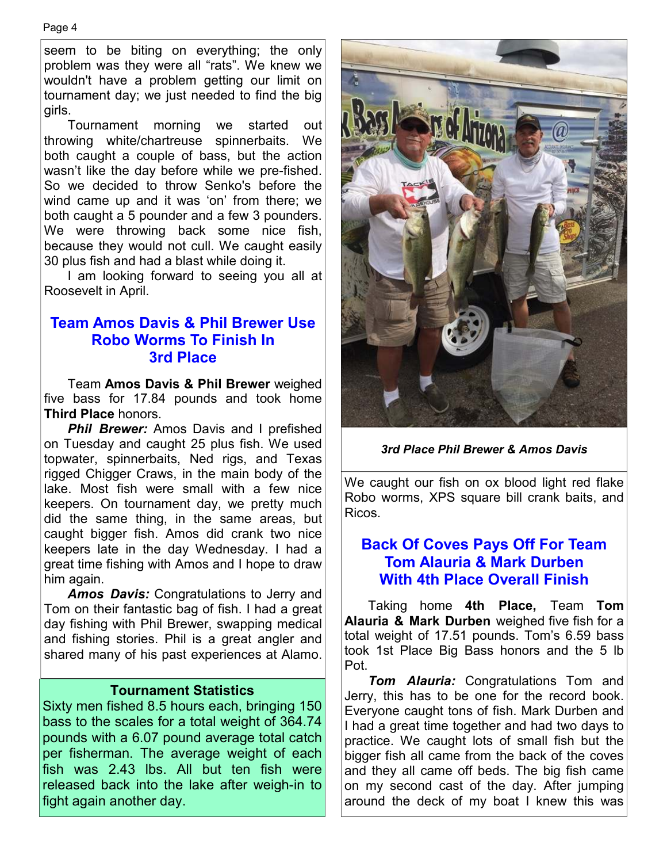seem to be biting on everything; the only problem was they were all "rats". We knew we wouldn't have a problem getting our limit on tournament day; we just needed to find the big girls.

 Tournament morning we started out throwing white/chartreuse spinnerbaits. We both caught a couple of bass, but the action wasn't like the day before while we pre-fished. So we decided to throw Senko's before the wind came up and it was 'on' from there; we both caught a 5 pounder and a few 3 pounders. We were throwing back some nice fish, because they would not cull. We caught easily 30 plus fish and had a blast while doing it.

 I am looking forward to seeing you all at Roosevelt in April.

#### **Team Amos Davis & Phil Brewer Use Robo Worms To Finish In 3rd Place**

 Team **Amos Davis & Phil Brewer** weighed five bass for 17.84 pounds and took home **Third Place** honors.

**Phil Brewer:** Amos Davis and I prefished on Tuesday and caught 25 plus fish. We used topwater, spinnerbaits, Ned rigs, and Texas rigged Chigger Craws, in the main body of the lake. Most fish were small with a few nice keepers. On tournament day, we pretty much did the same thing, in the same areas, but caught bigger fish. Amos did crank two nice keepers late in the day Wednesday. I had a great time fishing with Amos and I hope to draw him again.

*Amos Davis:* Congratulations to Jerry and Tom on their fantastic bag of fish. I had a great day fishing with Phil Brewer, swapping medical and fishing stories. Phil is a great angler and shared many of his past experiences at Alamo.

#### **Tournament Statistics**

Sixty men fished 8.5 hours each, bringing 150 bass to the scales for a total weight of 364.74 pounds with a 6.07 pound average total catch per fisherman. The average weight of each fish was 2.43 lbs. All but ten fish were released back into the lake after weigh-in to fight again another day.



*3rd Place Phil Brewer & Amos Davis*

We caught our fish on ox blood light red flake Robo worms, XPS square bill crank baits, and Ricos.

### **Back Of Coves Pays Off For Team Tom Alauria & Mark Durben With 4th Place Overall Finish**

 Taking home **4th Place,** Team **Tom Alauria & Mark Durben** weighed five fish for a total weight of 17.51 pounds. Tom's 6.59 bass took 1st Place Big Bass honors and the 5 lb Pot.

 *Tom Alauria:* Congratulations Tom and Jerry, this has to be one for the record book. Everyone caught tons of fish. Mark Durben and I had a great time together and had two days to practice. We caught lots of small fish but the bigger fish all came from the back of the coves and they all came off beds. The big fish came on my second cast of the day. After jumping around the deck of my boat I knew this was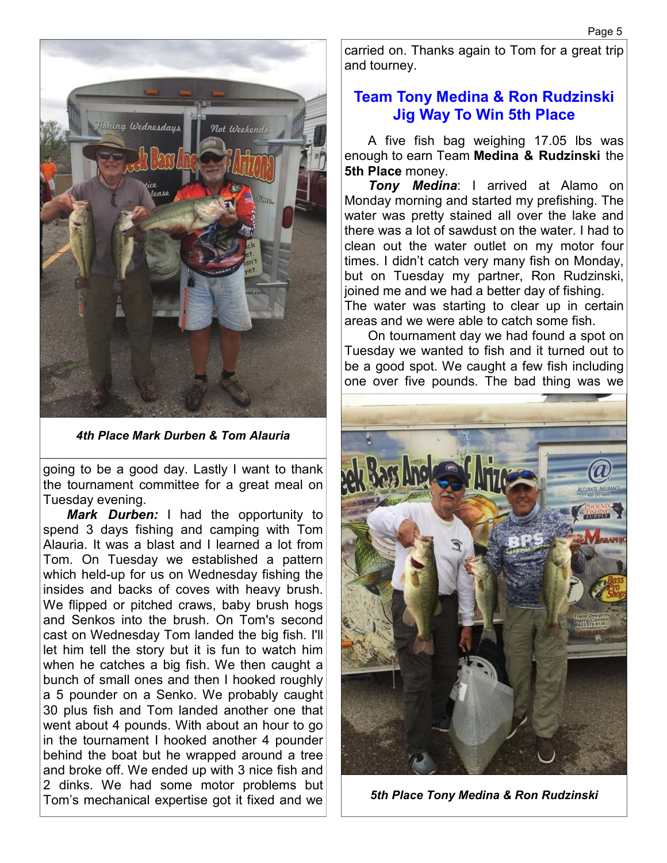

*4th Place Mark Durben & Tom Alauria* 

going to be a good day. Lastly I want to thank the tournament committee for a great meal on Tuesday evening.

 *Mark Durben:* I had the opportunity to spend 3 days fishing and camping with Tom Alauria. It was a blast and I learned a lot from Tom. On Tuesday we established a pattern which held-up for us on Wednesday fishing the insides and backs of coves with heavy brush. We flipped or pitched craws, baby brush hogs and Senkos into the brush. On Tom's second cast on Wednesday Tom landed the big fish. I'll let him tell the story but it is fun to watch him when he catches a big fish. We then caught a bunch of small ones and then I hooked roughly a 5 pounder on a Senko. We probably caught 30 plus fish and Tom landed another one that went about 4 pounds. With about an hour to go in the tournament I hooked another 4 pounder behind the boat but he wrapped around a tree and broke off. We ended up with 3 nice fish and 2 dinks. We had some motor problems but Tom's mechanical expertise got it fixed and we

carried on. Thanks again to Tom for a great trip and tourney.

### **Team Tony Medina & Ron Rudzinski Jig Way To Win 5th Place**

 A five fish bag weighing 17.05 lbs was enough to earn Team **Medina & Rudzinski** the **5th Place** money.

 *Tony Medina*: I arrived at Alamo on Monday morning and started my prefishing. The water was pretty stained all over the lake and there was a lot of sawdust on the water. I had to clean out the water outlet on my motor four times. I didn't catch very many fish on Monday, but on Tuesday my partner, Ron Rudzinski, joined me and we had a better day of fishing. The water was starting to clear up in certain areas and we were able to catch some fish.

 On tournament day we had found a spot on Tuesday we wanted to fish and it turned out to be a good spot. We caught a few fish including one over five pounds. The bad thing was we



*5th Place Tony Medina & Ron Rudzinski*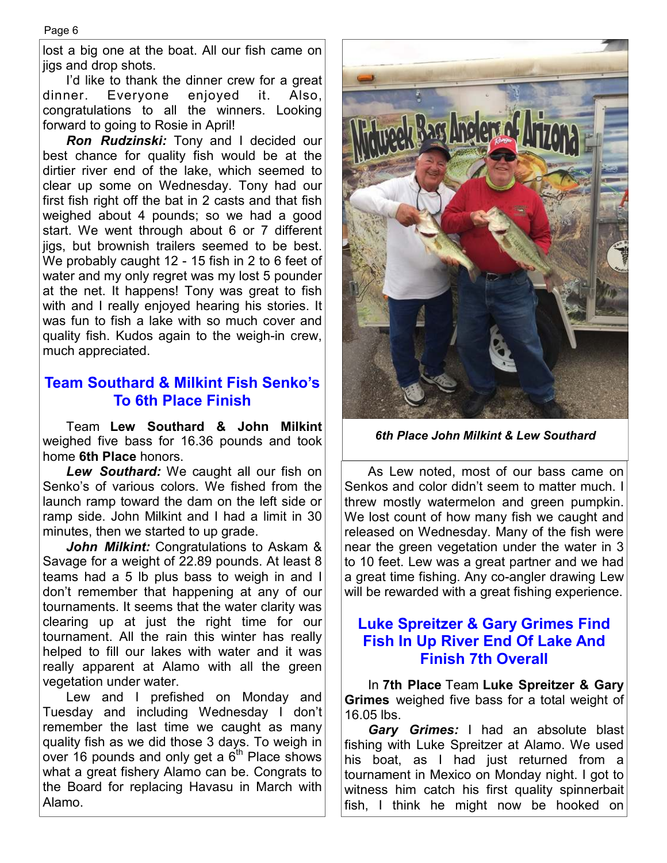lost a big one at the boat. All our fish came on jigs and drop shots.

I'd like to thank the dinner crew for a great dinner. Everyone enjoyed it. Also, congratulations to all the winners. Looking forward to going to Rosie in April!

 *Ron Rudzinski:* Tony and I decided our best chance for quality fish would be at the dirtier river end of the lake, which seemed to clear up some on Wednesday. Tony had our first fish right off the bat in 2 casts and that fish weighed about 4 pounds; so we had a good start. We went through about 6 or 7 different jigs, but brownish trailers seemed to be best. We probably caught 12 - 15 fish in 2 to 6 feet of water and my only regret was my lost 5 pounder at the net. It happens! Tony was great to fish with and I really enjoyed hearing his stories. It was fun to fish a lake with so much cover and quality fish. Kudos again to the weigh-in crew, much appreciated.

#### **Team Southard & Milkint Fish Senko's To 6th Place Finish**

 Team **Lew Southard & John Milkint**  weighed five bass for 16.36 pounds and took home **6th Place** honors.

 *Lew Southard:* We caught all our fish on Senko's of various colors. We fished from the launch ramp toward the dam on the left side or ramp side. John Milkint and I had a limit in 30 minutes, then we started to up grade.

*John Milkint:* Congratulations to Askam & Savage for a weight of 22.89 pounds. At least 8 teams had a 5 lb plus bass to weigh in and I don't remember that happening at any of our tournaments. It seems that the water clarity was clearing up at just the right time for our tournament. All the rain this winter has really helped to fill our lakes with water and it was really apparent at Alamo with all the green vegetation under water.

 Lew and I prefished on Monday and Tuesday and including Wednesday I don't remember the last time we caught as many quality fish as we did those 3 days. To weigh in over 16 pounds and only get a  $6<sup>th</sup>$  Place shows what a great fishery Alamo can be. Congrats to the Board for replacing Havasu in March with Alamo.



*6th Place John Milkint & Lew Southard* 

 As Lew noted, most of our bass came on Senkos and color didn't seem to matter much. I threw mostly watermelon and green pumpkin. We lost count of how many fish we caught and released on Wednesday. Many of the fish were near the green vegetation under the water in 3 to 10 feet. Lew was a great partner and we had a great time fishing. Any co-angler drawing Lew will be rewarded with a great fishing experience.

### **Luke Spreitzer & Gary Grimes Find Fish In Up River End Of Lake And Finish 7th Overall**

 In **7th Place** Team **Luke Spreitzer & Gary Grimes** weighed five bass for a total weight of 16.05 lbs.

 *Gary Grimes:* I had an absolute blast fishing with Luke Spreitzer at Alamo. We used his boat, as I had just returned from a tournament in Mexico on Monday night. I got to witness him catch his first quality spinnerbait fish, I think he might now be hooked on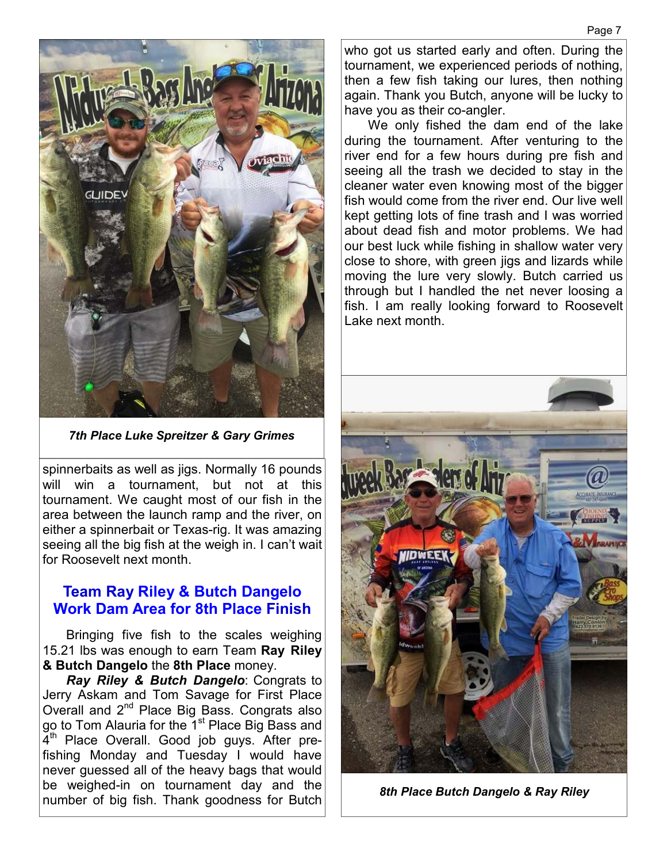

*7th Place Luke Spreitzer & Gary Grimes* 

spinnerbaits as well as jigs. Normally 16 pounds will win a tournament, but not at this tournament. We caught most of our fish in the area between the launch ramp and the river, on either a spinnerbait or Texas-rig. It was amazing seeing all the big fish at the weigh in. I can't wait for Roosevelt next month.

#### **Team Ray Riley & Butch Dangelo Work Dam Area for 8th Place Finish**

 Bringing five fish to the scales weighing 15.21 lbs was enough to earn Team **Ray Riley & Butch Dangelo** the **8th Place** money.

*Ray Riley & Butch Dangelo*: Congrats to Jerry Askam and Tom Savage for First Place Overall and 2<sup>nd</sup> Place Big Bass. Congrats also go to Tom Alauria for the 1<sup>st</sup> Place Big Bass and 4<sup>th</sup> Place Overall. Good job guys. After prefishing Monday and Tuesday I would have never guessed all of the heavy bags that would be weighed-in on tournament day and the number of big fish. Thank goodness for Butch who got us started early and often. During the tournament, we experienced periods of nothing, then a few fish taking our lures, then nothing again. Thank you Butch, anyone will be lucky to have you as their co-angler.

 We only fished the dam end of the lake during the tournament. After venturing to the river end for a few hours during pre fish and seeing all the trash we decided to stay in the cleaner water even knowing most of the bigger fish would come from the river end. Our live well kept getting lots of fine trash and I was worried about dead fish and motor problems. We had our best luck while fishing in shallow water very close to shore, with green jigs and lizards while moving the lure very slowly. Butch carried us through but I handled the net never loosing a fish. I am really looking forward to Roosevelt Lake next month.



*8th Place Butch Dangelo & Ray Riley*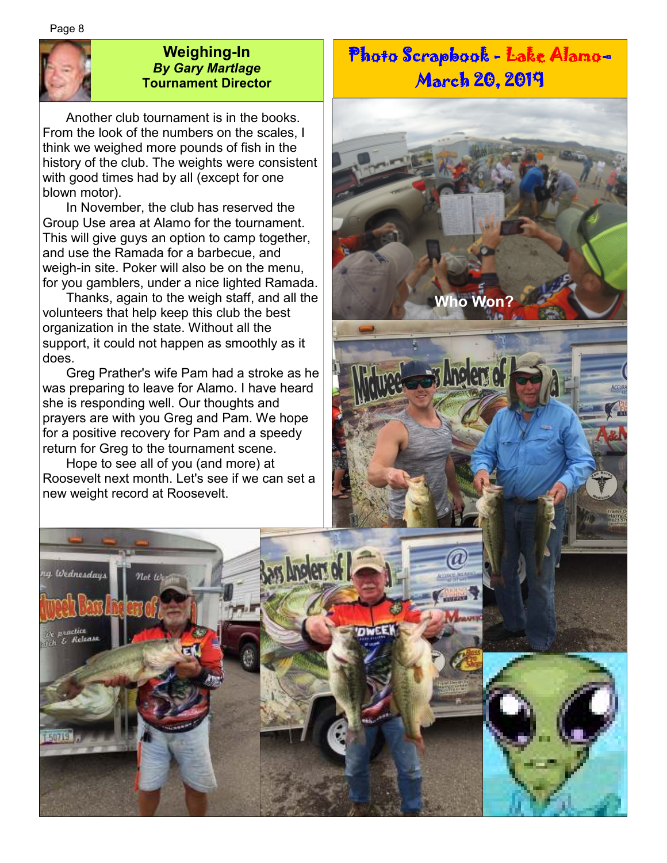Page 8



g Wednesdays

E Release

50719

#### **Weighing-In**  *By Gary Martlage*  **Tournament Director**

 Another club tournament is in the books. From the look of the numbers on the scales, I think we weighed more pounds of fish in the history of the club. The weights were consistent with good times had by all (except for one blown motor).

 In November, the club has reserved the Group Use area at Alamo for the tournament. This will give guys an option to camp together, and use the Ramada for a barbecue, and weigh-in site. Poker will also be on the menu, for you gamblers, under a nice lighted Ramada.

 Thanks, again to the weigh staff, and all the volunteers that help keep this club the best organization in the state. Without all the support, it could not happen as smoothly as it does.

 Greg Prather's wife Pam had a stroke as he was preparing to leave for Alamo. I have heard she is responding well. Our thoughts and prayers are with you Greg and Pam. We hope for a positive recovery for Pam and a speedy return for Greg to the tournament scene.

 Hope to see all of you (and more) at Roosevelt next month. Let's see if we can set a new weight record at Roosevelt.

Not W

# Photo Scrapbook - Lake Alamo-March 20, 2019